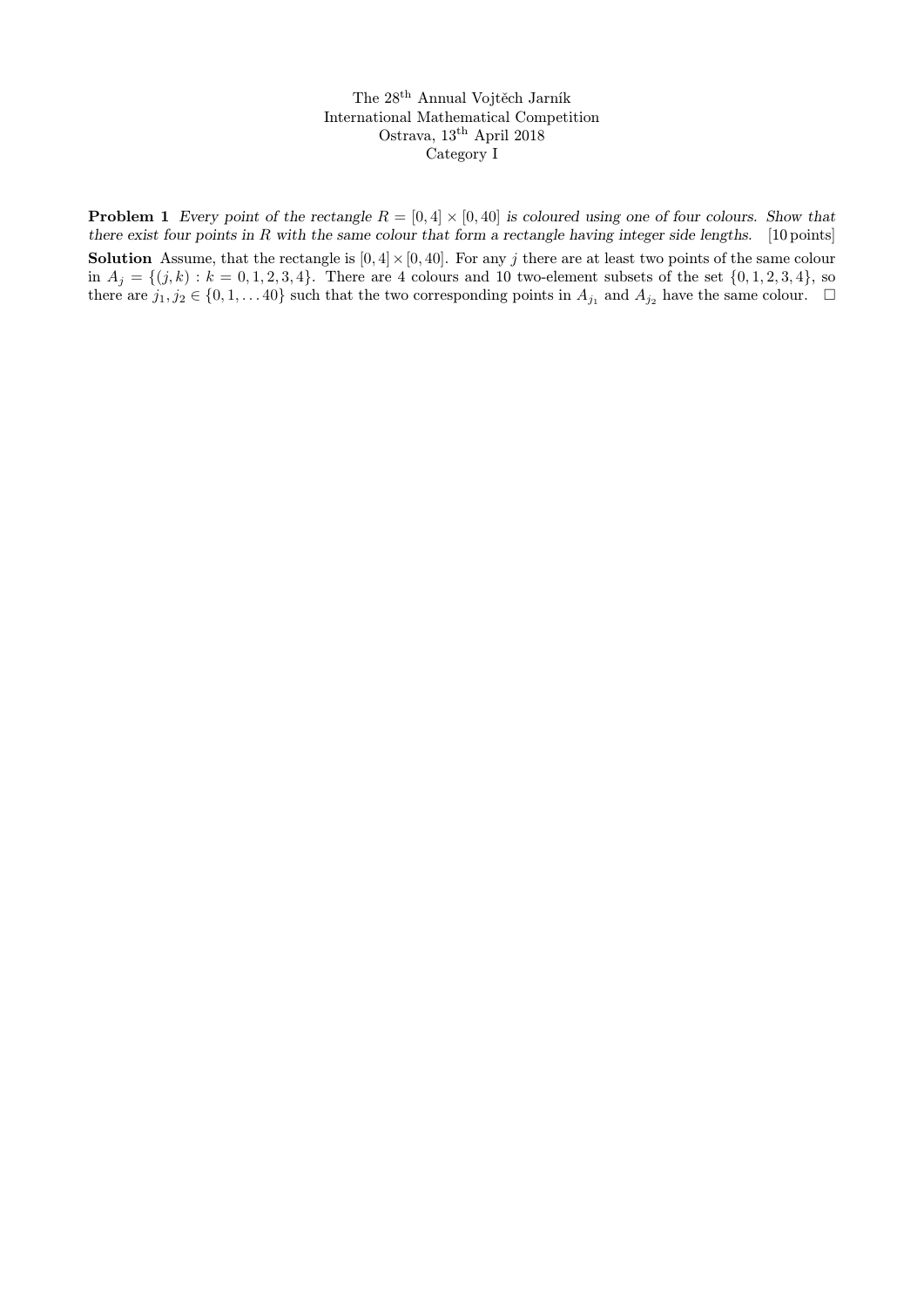The 28th Annual Vojtěch Jarník International Mathematical Competition Ostrava, 13<sup>th</sup> April 2018 Category I

**Problem 1** Every point of the rectangle  $R = [0, 4] \times [0, 40]$  is coloured using one of four colours. Show that there exist four points in R with the same colour that form a rectangle having integer side lengths.  $[10 \text{ points}]$ **Solution** Assume, that the rectangle is  $[0, 4] \times [0, 40]$ . For any j there are at least two points of the same colour in  $A_j = \{(j, k) : k = 0, 1, 2, 3, 4\}$ . There are 4 colours and 10 two-element subsets of the set  $\{0, 1, 2, 3, 4\}$ , so there are  $j_1, j_2 \in \{0, 1, \ldots 40\}$  such that the two corresponding points in  $A_{j_1}$  and  $A_{j_2}$  have the same colour.  $\Box$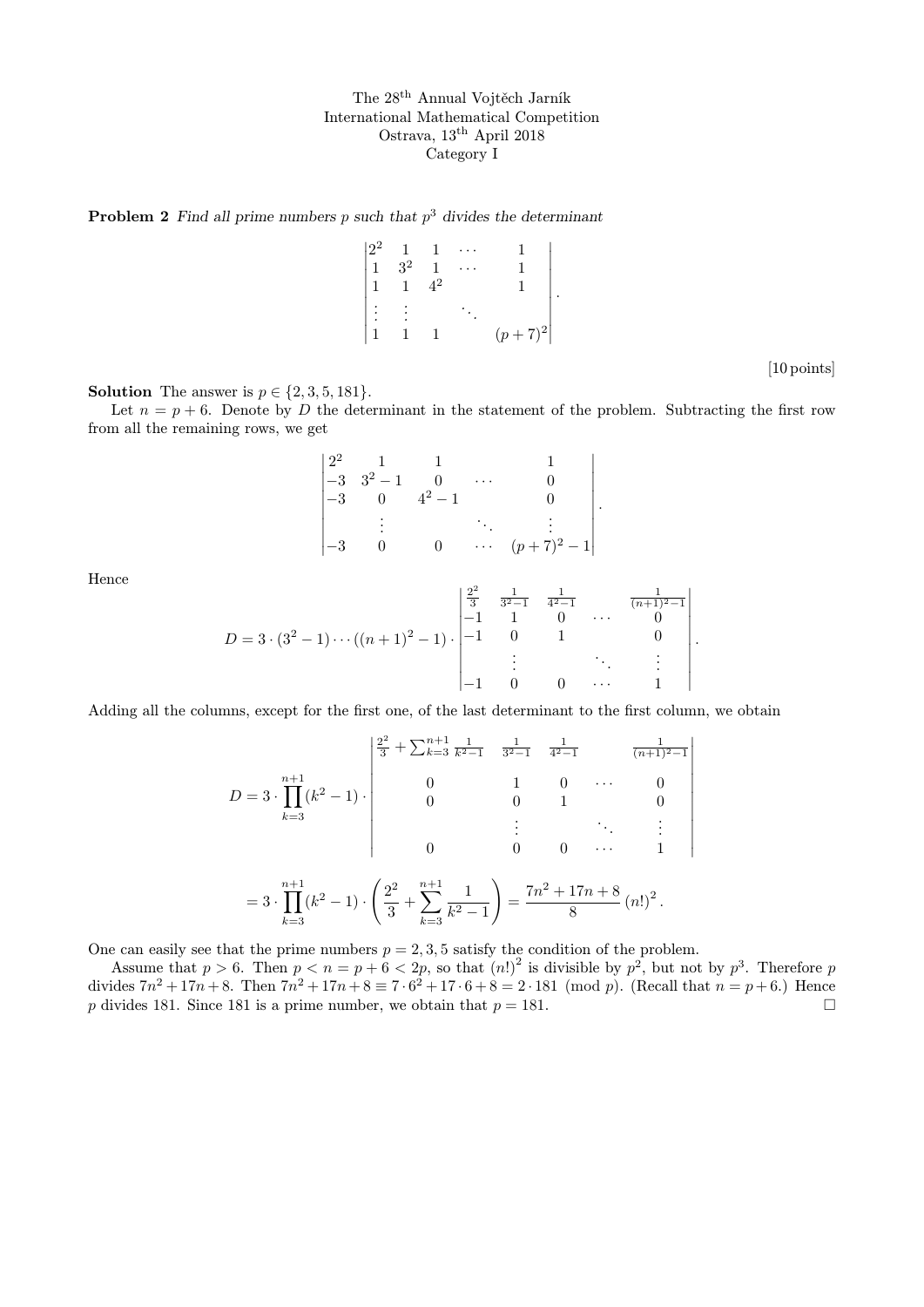The 28th Annual Vojtěch Jarník International Mathematical Competition Ostrava, 13th April 2018 Category I

**Problem 2** Find all prime numbers p such that  $p<sup>3</sup>$  divides the determinant

$$
\begin{vmatrix} 2^2 & 1 & 1 & \cdots & 1 \\ 1 & 3^2 & 1 & \cdots & 1 \\ 1 & 1 & 4^2 & & 1 \\ \vdots & \vdots & & \ddots & \\ 1 & 1 & 1 & (p+7)^2 \end{vmatrix}.
$$

[10 points]

 $\overline{\phantom{a}}$  $\overline{\phantom{a}}$  $\overline{\phantom{a}}$  $\overline{\phantom{a}}$  $\overline{\phantom{a}}$  $\overline{\phantom{a}}$  $\overline{\phantom{a}}$  $\overline{\phantom{a}}$  $\overline{\phantom{a}}$  $\overline{\phantom{a}}$  $\overline{\phantom{a}}$ 

**Solution** The answer is  $p \in \{2, 3, 5, 181\}.$ 

Let  $n = p + 6$ . Denote by D the determinant in the statement of the problem. Subtracting the first row from all the remaining rows, we get

$$
\begin{vmatrix} 2^2 & 1 & 1 & 1 & 1 \ -3 & 3^2 - 1 & 0 & \cdots & 0 \\ -3 & 0 & 4^2 - 1 & 0 & 0 \\ \vdots & \vdots & \ddots & \vdots \\ -3 & 0 & 0 & \cdots & (p+7)^2 - 1 \end{vmatrix}.
$$

Hence

$$
D = 3 \cdot (3^{2} - 1) \cdots ((n + 1)^{2} - 1) \cdot \begin{vmatrix} \frac{2^{2}}{3} & \frac{1}{3^{2} - 1} & \frac{1}{4^{2} - 1} & \frac{1}{(n + 1)^{2} - 1} \\ -1 & 1 & 0 & \cdots & 0 \\ -1 & 0 & 1 & 0 \\ \vdots & \vdots & \ddots & \vdots \\ -1 & 0 & 0 & \cdots & 1 \end{vmatrix}.
$$

Adding all the columns, except for the first one, of the last determinant to the first column, we obtain

$$
D = 3 \cdot \prod_{k=3}^{n+1} (k^2 - 1) \cdot \begin{pmatrix} \frac{2^2}{3} + \sum_{k=3}^{n+1} \frac{1}{k^2 - 1} & \frac{1}{3^2 - 1} & \frac{1}{4^2 - 1} & \frac{1}{(n+1)^2 - 1} \\ 0 & 1 & 0 & \cdots & 0 \\ 0 & 0 & 1 & 0 \\ \vdots & \vdots & \ddots & \vdots \\ 0 & 0 & 0 & \cdots & 1 \end{pmatrix}
$$

$$
= 3 \cdot \prod_{k=3}^{n+1} (k^2 - 1) \cdot \left( \frac{2^2}{3} + \sum_{k=3}^{n+1} \frac{1}{k^2 - 1} \right) = \frac{7n^2 + 17n + 8}{8} (n!)^2.
$$

One can easily see that the prime numbers  $p = 2, 3, 5$  satisfy the condition of the problem.

Assume that  $p > 6$ . Then  $p < n = p + 6 < 2p$ , so that  $(n!)^2$  is divisible by  $p^2$ , but not by  $p^3$ . Therefore p divides  $7n^2 + 17n + 8$ . Then  $7n^2 + 17n + 8 \equiv 7 \cdot 6^2 + 17 \cdot 6 + 8 = 2 \cdot 181 \pmod{p}$ . (Recall that  $n = p + 6$ .) Hence p divides 181. Since 181 is a prime number, we obtain that  $p = 181$ .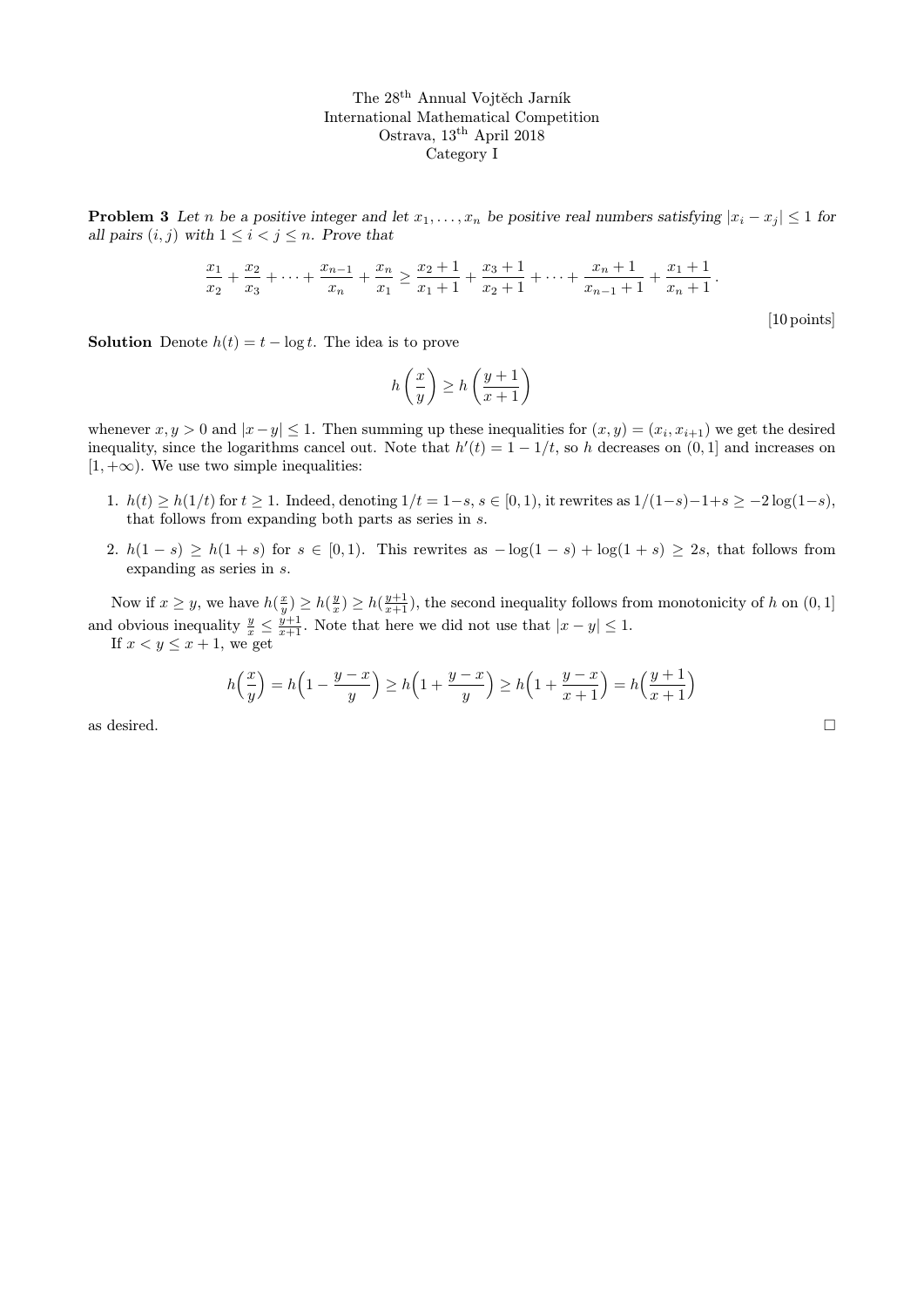The 28th Annual Vojtěch Jarník International Mathematical Competition Ostrava, 13th April 2018 Category I

**Problem 3** Let n be a positive integer and let  $x_1, \ldots, x_n$  be positive real numbers satisfying  $|x_i - x_j| \leq 1$  for all pairs  $(i, j)$  with  $1 \leq i < j \leq n$ . Prove that

$$
\frac{x_1}{x_2} + \frac{x_2}{x_3} + \dots + \frac{x_{n-1}}{x_n} + \frac{x_n}{x_1} \ge \frac{x_2+1}{x_1+1} + \frac{x_3+1}{x_2+1} + \dots + \frac{x_n+1}{x_{n-1}+1} + \frac{x_1+1}{x_n+1}.
$$

[10 points]

**Solution** Denote  $h(t) = t - \log t$ . The idea is to prove

$$
h\left(\frac{x}{y}\right) \ge h\left(\frac{y+1}{x+1}\right)
$$

whenever  $x, y > 0$  and  $|x - y| \leq 1$ . Then summing up these inequalities for  $(x, y) = (x_i, x_{i+1})$  we get the desired inequality, since the logarithms cancel out. Note that  $h'(t) = 1 - 1/t$ , so h decreases on  $(0, 1]$  and increases on  $[1, +\infty)$ . We use two simple inequalities:

- 1.  $h(t) \ge h(1/t)$  for  $t \ge 1$ . Indeed, denoting  $1/t = 1-s$ ,  $s \in [0, 1)$ , it rewrites as  $1/(1-s)-1+s \ge -2\log(1-s)$ , that follows from expanding both parts as series in s.
- 2.  $h(1-s) \ge h(1+s)$  for  $s \in [0,1)$ . This rewrites as  $-\log(1-s) + \log(1+s) \ge 2s$ , that follows from expanding as series in s.

Now if  $x \geq y$ , we have  $h(\frac{x}{y}) \geq h(\frac{y}{x}) \geq h(\frac{y+1}{x+1})$ , the second inequality follows from monotonicity of h on  $(0, 1]$ and obvious inequality  $\frac{y}{x} \leq \frac{y+1}{x+1}$ . Note that here we did not use that  $|x - y| \leq 1$ . If  $x < y \leq x + 1$ , we get

$$
h\left(\frac{x}{y}\right) = h\left(1 - \frac{y-x}{y}\right) \ge h\left(1 + \frac{y-x}{y}\right) \ge h\left(1 + \frac{y-x}{x+1}\right) = h\left(\frac{y+1}{x+1}\right)
$$

as desired.  $\Box$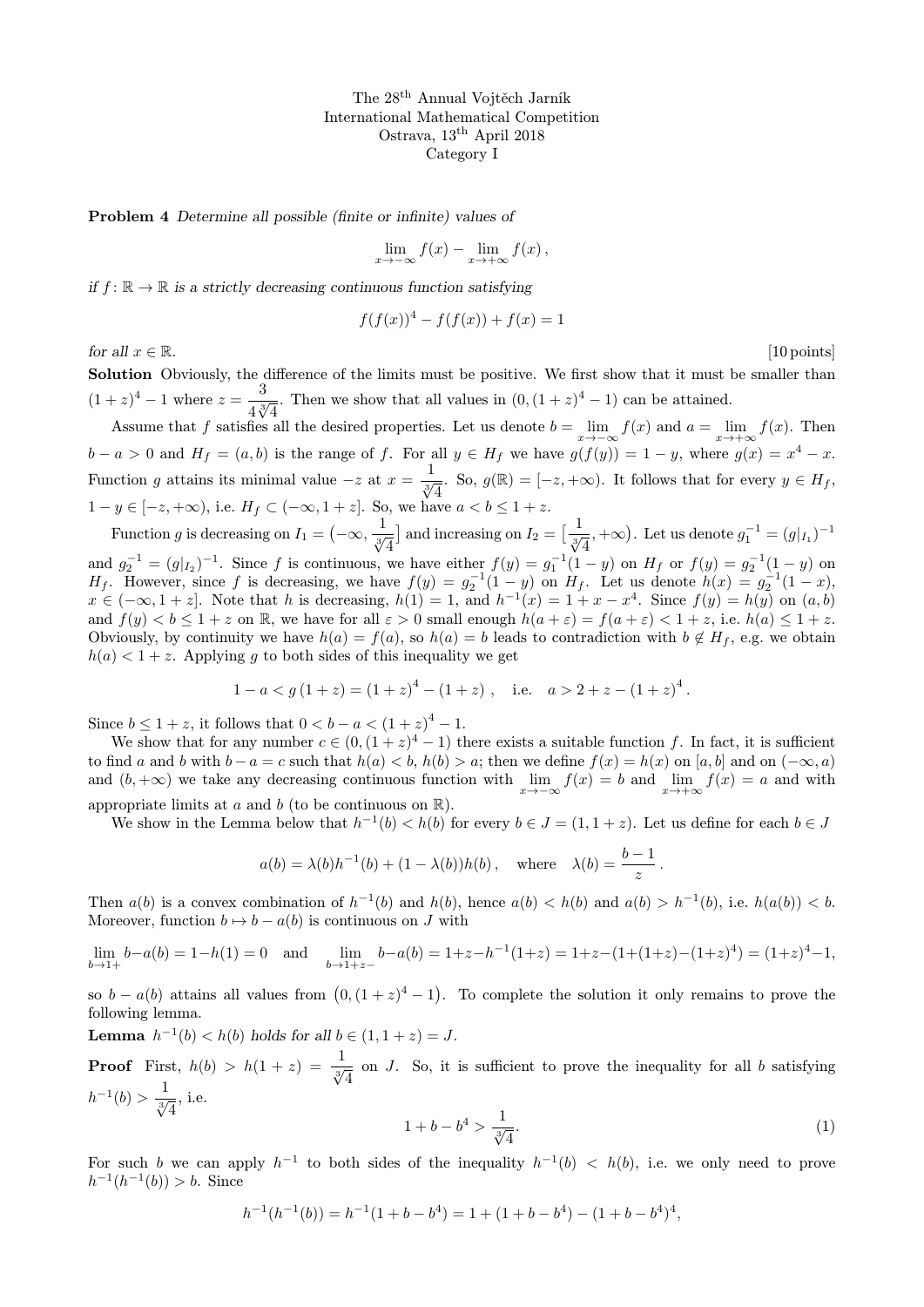The 28th Annual Vojtěch Jarník International Mathematical Competition Ostrava, 13th April 2018 Category I

Problem 4 Determine all possible (finite or infinite) values of

$$
\lim_{x \to -\infty} f(x) - \lim_{x \to +\infty} f(x),
$$

if  $f: \mathbb{R} \to \mathbb{R}$  is a strictly decreasing continuous function satisfying

 $f(f(x))^{4} - f(f(x)) + f(x) = 1$ 

for all  $x \in \mathbb{R}$ . [10 points]

Solution Obviously, the difference of the limits must be positive. We first show that it must be smaller than  $(1+z)^4 - 1$  where  $z = \frac{3}{1-z^3}$  $\frac{3}{4\sqrt[3]{4}}$ . Then we show that all values in  $(0,(1+z)^4-1)$  can be attained.

Assume that f satisfies all the desired properties. Let us denote  $b = \lim_{x \to -\infty} f(x)$  and  $a = \lim_{x \to +\infty} f(x)$ . Then  $b - a > 0$  and  $H_f = (a, b)$  is the range of f. For all  $y \in H_f$  we have  $g(f(y)) = 1 - y$ , where  $g(x) = x^4 - x$ . Function g attains its minimal value  $-z$  at  $x = \frac{1}{\sqrt[3]{4}}$ . So,  $g(\mathbb{R}) = [-z, +\infty)$ . It follows that for every  $y \in H_f$ ,  $1 - y \in [-z, +\infty)$ , i.e.  $H_f \subset (-\infty, 1 + z]$ . So, we have  $a < b \leq 1 + z$ .

Function g is decreasing on  $I_1 = \left(-\infty, \frac{1}{\sqrt[3]{4}}\right)$ ] and increasing on  $I_2 = \left[\frac{1}{\sqrt[3]{4}}, +\infty\right)$ . Let us denote  $g_1^{-1} = (g|_{I_1})^{-1}$ and  $g_2^{-1} = (g|_{I_2})^{-1}$ . Since f is continuous, we have either  $f(y) = g_1^{-1}(1 - y)$  on  $H_f$  or  $f(y) = g_2^{-1}(1 - y)$  on  $H_f$ . However, since f is decreasing, we have  $f(y) = g_2^{-1}(1-y)$  on  $H_f$ . Let us denote  $h(x) = g_2^{-1}(1-x)$ ,  $x \in (-\infty, 1+z]$ . Note that h is decreasing,  $h(1) = 1$ , and  $h^{-1}(x) = 1 + x - x^4$ . Since  $f(y) = h(y)$  on  $(a, b)$ and  $f(y) < b \leq 1 + z$  on R, we have for all  $\varepsilon > 0$  small enough  $h(a + \varepsilon) = f(a + \varepsilon) < 1 + z$ , i.e.  $h(a) \leq 1 + z$ . Obviously, by continuity we have  $h(a) = f(a)$ , so  $h(a) = b$  leads to contradiction with  $b \notin H_f$ , e.g. we obtain  $h(a) < 1 + z$ . Applying g to both sides of this inequality we get

$$
1 - a < g\left(1 + z\right) = \left(1 + z\right)^4 - \left(1 + z\right), \quad \text{i.e.} \quad a > 2 + z - \left(1 + z\right)^4.
$$

Since  $b \le 1 + z$ , it follows that  $0 < b - a < (1 + z)^4 - 1$ .

We show that for any number  $c \in (0, (1+z)^4 - 1)$  there exists a suitable function f. In fact, it is sufficient to find a and b with  $b - a = c$  such that  $h(a) < b$ ,  $h(b) > a$ ; then we define  $f(x) = h(x)$  on [a, b] and on  $(-\infty, a)$ and  $(b, +\infty)$  we take any decreasing continuous function with  $\lim_{x\to -\infty} f(x) = b$  and  $\lim_{x\to +\infty} f(x) = a$  and with appropriate limits at a and b (to be continuous on  $\mathbb{R}$ ).

We show in the Lemma below that  $h^{-1}(b) < h(b)$  for every  $b \in J = (1, 1 + z)$ . Let us define for each  $b \in J$ 

$$
a(b) = \lambda(b)h^{-1}(b) + (1 - \lambda(b))h(b)
$$
, where  $\lambda(b) = \frac{b-1}{z}$ .

Then  $a(b)$  is a convex combination of  $h^{-1}(b)$  and  $h(b)$ , hence  $a(b) < h(b)$  and  $a(b) > h^{-1}(b)$ , i.e.  $h(a(b)) < b$ . Moreover, function  $b \mapsto b - a(b)$  is continuous on J with

$$
\lim_{b \to 1+} b - a(b) = 1 - h(1) = 0 \quad \text{and} \quad \lim_{b \to 1+z-} b - a(b) = 1 + z - h^{-1}(1+z) = 1 + z - (1 + (1+z) - (1+z)^4) = (1+z)^4 - 1,
$$

so  $b - a(b)$  attains all values from  $(0, (1+z)^4 - 1)$ . To complete the solution it only remains to prove the following lemma.

**Lemma**  $h^{-1}(b) < h(b)$  holds for all  $b \in (1, 1 + z) = J$ .

**Proof** First,  $h(b) > h(1 + z) = \frac{1}{\sqrt[3]{4}}$  on J. So, it is sufficient to prove the inequality for all b satisfying  $h^{-1}(b) > \frac{1}{\sqrt[3]{4}}, \text{ i.e.}$ 

$$
1 + b - b^4 > \frac{1}{\sqrt[3]{4}}.\tag{1}
$$

For such b we can apply  $h^{-1}$  to both sides of the inequality  $h^{-1}(b) < h(b)$ , i.e. we only need to prove  $h^{-1}(h^{-1}(b)) > b$ . Since

$$
h^{-1}(h^{-1}(b)) = h^{-1}(1+b-b^4) = 1 + (1+b-b^4) - (1+b-b^4)^4,
$$